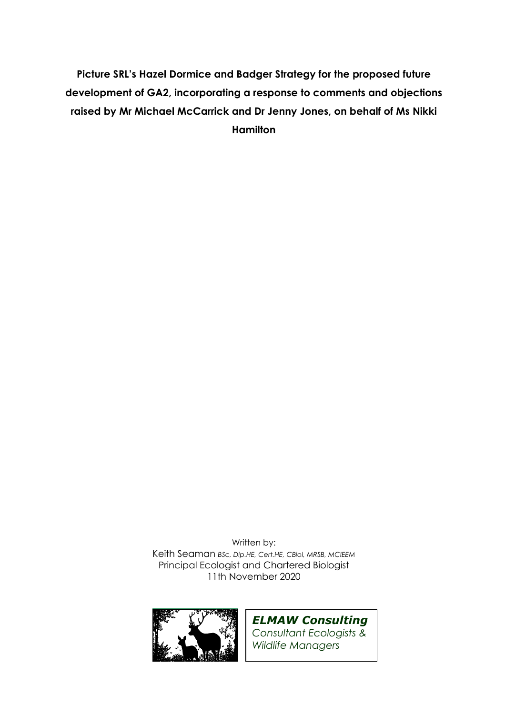**Picture SRL's Hazel Dormice and Badger Strategy for the proposed future development of GA2, incorporating a response to comments and objections raised by Mr Michael McCarrick and Dr Jenny Jones, on behalf of Ms Nikki Hamilton** 

> Written by: Keith Seaman *BSc, Dip.HE, Cert.HE, CBiol, MRSB, MCIEEM*  Principal Ecologist and Chartered Biologist 11th November 2020



*ELMAW Consulting Consultant Ecologists & Wildlife Managers*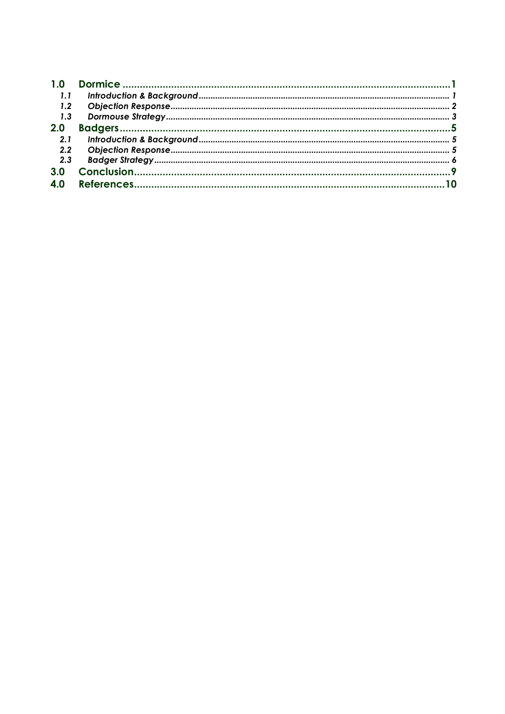| 1.1 |  |
|-----|--|
| 1.2 |  |
| 1.3 |  |
| 2.0 |  |
| 2.1 |  |
| 2.2 |  |
| 2.3 |  |
| 3.0 |  |
| 4.0 |  |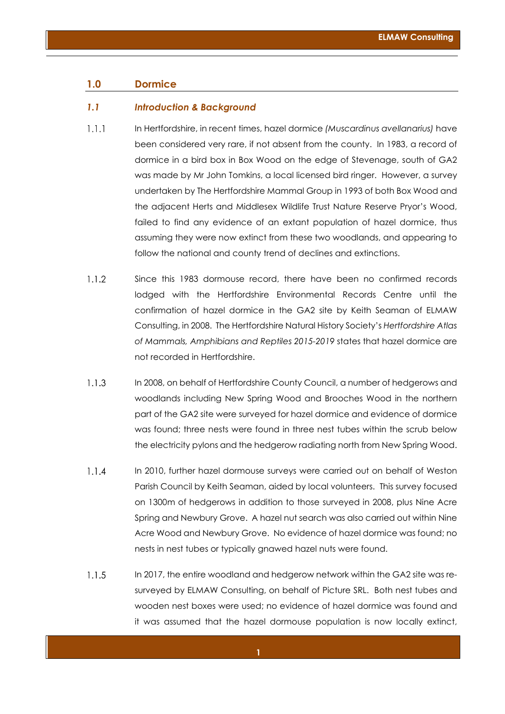## **1.0 Dormice**

#### *1.1 Introduction & Background*

- $1.1.1$ In Hertfordshire, in recent times, hazel dormice *(Muscardinus avellanarius)* have been considered very rare, if not absent from the county. In 1983, a record of dormice in a bird box in Box Wood on the edge of Stevenage, south of GA2 was made by Mr John Tomkins, a local licensed bird ringer. However, a survey undertaken by The Hertfordshire Mammal Group in 1993 of both Box Wood and the adjacent Herts and Middlesex Wildlife Trust Nature Reserve Pryor's Wood, failed to find any evidence of an extant population of hazel dormice, thus assuming they were now extinct from these two woodlands, and appearing to follow the national and county trend of declines and extinctions.
- $1.1.2$ Since this 1983 dormouse record, there have been no confirmed records lodged with the Hertfordshire Environmental Records Centre until the confirmation of hazel dormice in the GA2 site by Keith Seaman of ELMAW Consulting, in 2008. The Hertfordshire Natural History Society's *Hertfordshire Atlas of Mammals, Amphibians and Reptiles 2015-2019* states that hazel dormice are not recorded in Hertfordshire.
- $1.1.3$ In 2008, on behalf of Hertfordshire County Council, a number of hedgerows and woodlands including New Spring Wood and Brooches Wood in the northern part of the GA2 site were surveyed for hazel dormice and evidence of dormice was found; three nests were found in three nest tubes within the scrub below the electricity pylons and the hedgerow radiating north from New Spring Wood.
- $1.1.4$ In 2010, further hazel dormouse surveys were carried out on behalf of Weston Parish Council by Keith Seaman, aided by local volunteers. This survey focused on 1300m of hedgerows in addition to those surveyed in 2008, plus Nine Acre Spring and Newbury Grove. A hazel nut search was also carried out within Nine Acre Wood and Newbury Grove. No evidence of hazel dormice was found; no nests in nest tubes or typically gnawed hazel nuts were found.
- $1.1.5$ In 2017, the entire woodland and hedgerow network within the GA2 site was resurveyed by ELMAW Consulting, on behalf of Picture SRL. Both nest tubes and wooden nest boxes were used; no evidence of hazel dormice was found and it was assumed that the hazel dormouse population is now locally extinct,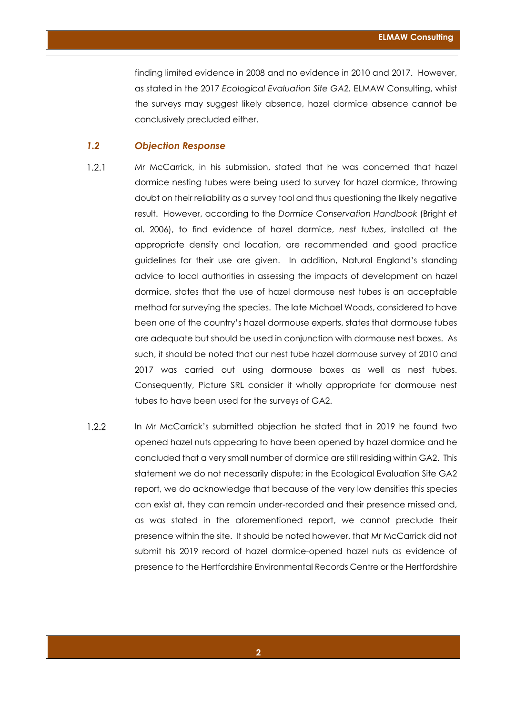finding limited evidence in 2008 and no evidence in 2010 and 2017. However, as stated in the 2017 *Ecological Evaluation Site GA2,* ELMAW Consulting, whilst the surveys may suggest likely absence, hazel dormice absence cannot be conclusively precluded either.

# *1.2 Objection Response*

- $1.2.1$ Mr McCarrick, in his submission, stated that he was concerned that hazel dormice nesting tubes were being used to survey for hazel dormice, throwing doubt on their reliability as a survey tool and thus questioning the likely negative result. However, according to the *Dormice Conservation Handbook* (Bright et al. 2006), to find evidence of hazel dormice, *nest tubes*, installed at the appropriate density and location, are recommended and good practice guidelines for their use are given. In addition, Natural England's standing advice to local authorities in assessing the impacts of development on hazel dormice, states that the use of hazel dormouse nest tubes is an acceptable method for surveying the species. The late Michael Woods, considered to have been one of the country's hazel dormouse experts, states that dormouse tubes are adequate but should be used in conjunction with dormouse nest boxes. As such, it should be noted that our nest tube hazel dormouse survey of 2010 and 2017 was carried out using dormouse boxes as well as nest tubes. Consequently, Picture SRL consider it wholly appropriate for dormouse nest tubes to have been used for the surveys of GA2.
- $1.2.2$ In Mr McCarrick's submitted objection he stated that in 2019 he found two opened hazel nuts appearing to have been opened by hazel dormice and he concluded that a very small number of dormice are still residing within GA2. This statement we do not necessarily dispute; in the Ecological Evaluation Site GA2 report, we do acknowledge that because of the very low densities this species can exist at, they can remain under-recorded and their presence missed and, as was stated in the aforementioned report, we cannot preclude their presence within the site. It should be noted however, that Mr McCarrick did not submit his 2019 record of hazel dormice-opened hazel nuts as evidence of presence to the Hertfordshire Environmental Records Centre or the Hertfordshire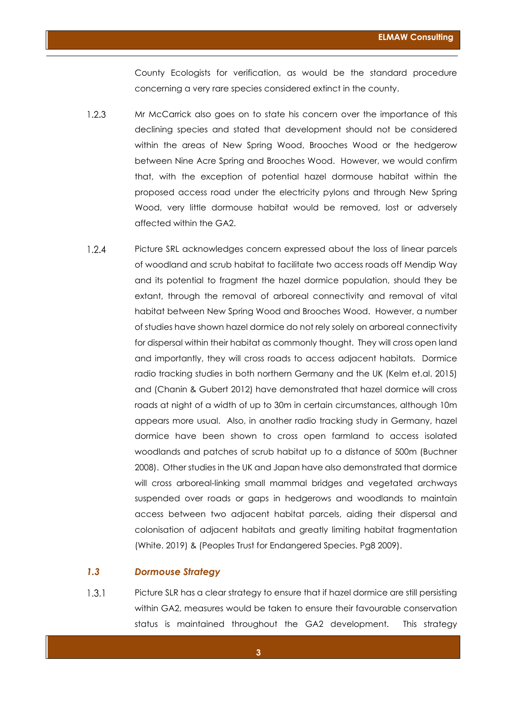County Ecologists for verification, as would be the standard procedure concerning a very rare species considered extinct in the county.

- $1.2.3$ Mr McCarrick also goes on to state his concern over the importance of this declining species and stated that development should not be considered within the areas of New Spring Wood, Brooches Wood or the hedgerow between Nine Acre Spring and Brooches Wood. However, we would confirm that, with the exception of potential hazel dormouse habitat within the proposed access road under the electricity pylons and through New Spring Wood, very little dormouse habitat would be removed, lost or adversely affected within the GA2.
- $1.2.4$ Picture SRL acknowledges concern expressed about the loss of linear parcels of woodland and scrub habitat to facilitate two access roads off Mendip Way and its potential to fragment the hazel dormice population, should they be extant, through the removal of arboreal connectivity and removal of vital habitat between New Spring Wood and Brooches Wood. However, a number of studies have shown hazel dormice do not rely solely on arboreal connectivity for dispersal within their habitat as commonly thought. They will cross open land and importantly, they will cross roads to access adjacent habitats. Dormice radio tracking studies in both northern Germany and the UK (Kelm et.al. 2015) and (Chanin & Gubert 2012) have demonstrated that hazel dormice will cross roads at night of a width of up to 30m in certain circumstances, although 10m appears more usual. Also, in another radio tracking study in Germany, hazel dormice have been shown to cross open farmland to access isolated woodlands and patches of scrub habitat up to a distance of 500m (Buchner 2008). Other studies in the UK and Japan have also demonstrated that dormice will cross arboreal-linking small mammal bridges and vegetated archways suspended over roads or gaps in hedgerows and woodlands to maintain access between two adjacent habitat parcels, aiding their dispersal and colonisation of adjacent habitats and greatly limiting habitat fragmentation (White. 2019) & (Peoples Trust for Endangered Species. Pg8 2009).

## *1.3 Dormouse Strategy*

 $1.3.1$ Picture SLR has a clear strategy to ensure that if hazel dormice are still persisting within GA2, measures would be taken to ensure their favourable conservation status is maintained throughout the GA2 development. This strategy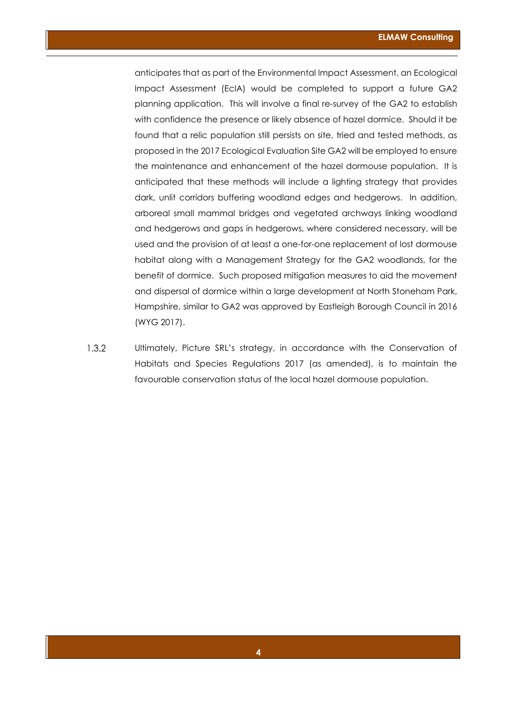anticipates that as part of the Environmental Impact Assessment, an Ecological Impact Assessment (EcIA) would be completed to support a future GA2 planning application. This will involve a final re-survey of the GA2 to establish with confidence the presence or likely absence of hazel dormice. Should it be found that a relic population still persists on site, tried and tested methods, as proposed in the 2017 Ecological Evaluation Site GA2 will be employed to ensure the maintenance and enhancement of the hazel dormouse population. It is anticipated that these methods will include a lighting strategy that provides dark, unlit corridors buffering woodland edges and hedgerows. In addition, arboreal small mammal bridges and vegetated archways linking woodland and hedgerows and gaps in hedgerows, where considered necessary, will be used and the provision of at least a one-for-one replacement of lost dormouse habitat along with a Management Strategy for the GA2 woodlands, for the benefit of dormice. Such proposed mitigation measures to aid the movement and dispersal of dormice within a large development at North Stoneham Park, Hampshire, similar to GA2 was approved by Eastleigh Borough Council in 2016 (WYG 2017).

 $1.3.2$ Ultimately, Picture SRL's strategy, in accordance with the Conservation of Habitats and Species Regulations 2017 (as amended), is to maintain the favourable conservation status of the local hazel dormouse population.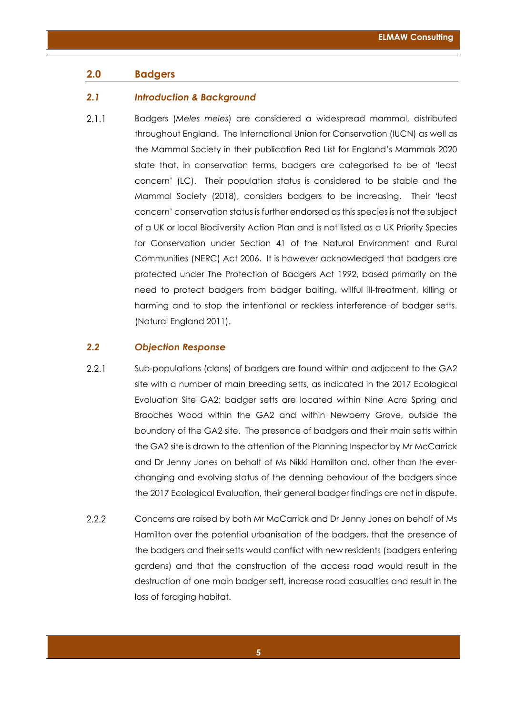## **2.0 Badgers**

#### *2.1 Introduction & Background*

 $2.1.1$ Badgers (*Meles meles*) are considered a widespread mammal, distributed throughout England. The International Union for Conservation (IUCN) as well as the Mammal Society in their publication Red List for England's Mammals 2020 state that, in conservation terms, badgers are categorised to be of 'least concern' (LC). Their population status is considered to be stable and the Mammal Society (2018), considers badgers to be increasing. Their 'least concern' conservation status is further endorsed as this species is not the subject of a UK or local Biodiversity Action Plan and is not listed as a UK Priority Species for Conservation under Section 41 of the Natural Environment and Rural Communities (NERC) Act 2006. It is however acknowledged that badgers are protected under The Protection of Badgers Act 1992, based primarily on the need to protect badgers from badger baiting, willful ill-treatment, killing or harming and to stop the intentional or reckless interference of badger setts. (Natural England 2011).

#### *2.2 Objection Response*

- $2.2.1$ Sub-populations (clans) of badgers are found within and adjacent to the GA2 site with a number of main breeding setts, as indicated in the 2017 Ecological Evaluation Site GA2; badger setts are located within Nine Acre Spring and Brooches Wood within the GA2 and within Newberry Grove, outside the boundary of the GA2 site. The presence of badgers and their main setts within the GA2 site is drawn to the attention of the Planning Inspector by Mr McCarrick and Dr Jenny Jones on behalf of Ms Nikki Hamilton and, other than the everchanging and evolving status of the denning behaviour of the badgers since the 2017 Ecological Evaluation, their general badger findings are not in dispute.
- $2.2.2$ Concerns are raised by both Mr McCarrick and Dr Jenny Jones on behalf of Ms Hamilton over the potential urbanisation of the badgers, that the presence of the badgers and their setts would conflict with new residents (badgers entering gardens) and that the construction of the access road would result in the destruction of one main badger sett, increase road casualties and result in the loss of foraging habitat.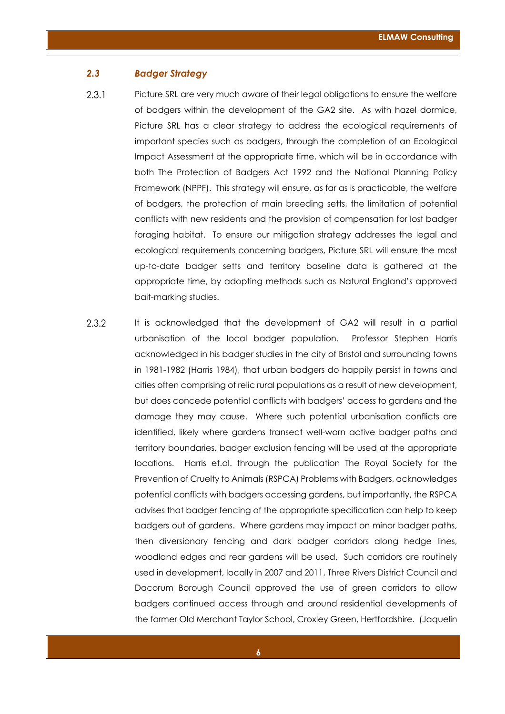# *2.3 Badger Strategy*

 $2.3.1$ 

Picture SRL are very much aware of their legal obligations to ensure the welfare of badgers within the development of the GA2 site. As with hazel dormice, Picture SRL has a clear strategy to address the ecological requirements of important species such as badgers, through the completion of an Ecological Impact Assessment at the appropriate time, which will be in accordance with both The Protection of Badgers Act 1992 and the National Planning Policy Framework (NPPF). This strategy will ensure, as far as is practicable, the welfare of badgers, the protection of main breeding setts, the limitation of potential conflicts with new residents and the provision of compensation for lost badger foraging habitat. To ensure our mitigation strategy addresses the legal and ecological requirements concerning badgers, Picture SRL will ensure the most up-to-date badger setts and territory baseline data is gathered at the appropriate time, by adopting methods such as Natural England's approved bait-marking studies.

 $2.3.2$ It is acknowledged that the development of GA2 will result in a partial urbanisation of the local badger population. Professor Stephen Harris acknowledged in his badger studies in the city of Bristol and surrounding towns in 1981-1982 (Harris 1984), that urban badgers do happily persist in towns and cities often comprising of relic rural populations as a result of new development, but does concede potential conflicts with badgers' access to gardens and the damage they may cause. Where such potential urbanisation conflicts are identified, likely where gardens transect well-worn active badger paths and territory boundaries, badger exclusion fencing will be used at the appropriate locations. Harris et.al. through the publication The Royal Society for the Prevention of Cruelty to Animals (RSPCA) Problems with Badgers, acknowledges potential conflicts with badgers accessing gardens, but importantly, the RSPCA advises that badger fencing of the appropriate specification can help to keep badgers out of gardens. Where gardens may impact on minor badger paths, then diversionary fencing and dark badger corridors along hedge lines, woodland edges and rear gardens will be used. Such corridors are routinely used in development, locally in 2007 and 2011, Three Rivers District Council and Dacorum Borough Council approved the use of green corridors to allow badgers continued access through and around residential developments of the former Old Merchant Taylor School, Croxley Green, Hertfordshire. (Jaquelin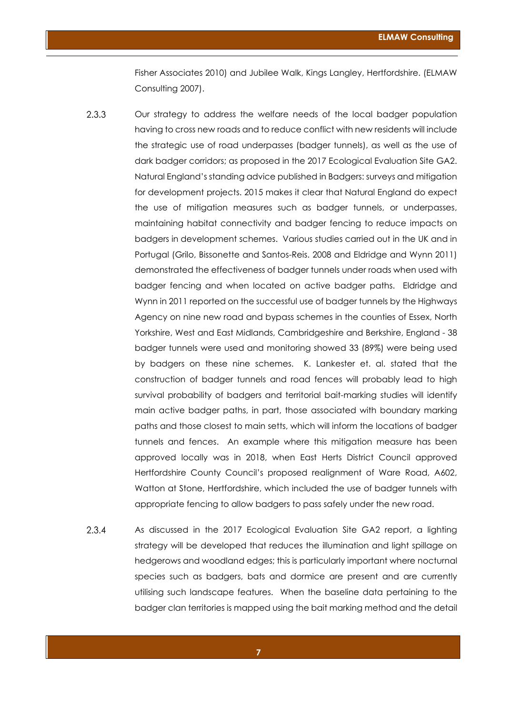Fisher Associates 2010) and Jubilee Walk, Kings Langley, Hertfordshire. (ELMAW Consulting 2007).

- $2.3.3$ Our strategy to address the welfare needs of the local badger population having to cross new roads and to reduce conflict with new residents will include the strategic use of road underpasses (badger tunnels), as well as the use of dark badger corridors; as proposed in the 2017 Ecological Evaluation Site GA2. Natural England's standing advice published in Badgers: surveys and mitigation for development projects. 2015 makes it clear that Natural England do expect the use of mitigation measures such as badger tunnels, or underpasses, maintaining habitat connectivity and badger fencing to reduce impacts on badgers in development schemes. Various studies carried out in the UK and in Portugal (Grilo, Bissonette and Santos-Reis. 2008 and Eldridge and Wynn 2011) demonstrated the effectiveness of badger tunnels under roads when used with badger fencing and when located on active badger paths. Eldridge and Wynn in 2011 reported on the successful use of badger tunnels by the Highways Agency on nine new road and bypass schemes in the counties of Essex, North Yorkshire, West and East Midlands, Cambridgeshire and Berkshire, England - 38 badger tunnels were used and monitoring showed 33 (89%) were being used by badgers on these nine schemes. K. Lankester et. al. stated that the construction of badger tunnels and road fences will probably lead to high survival probability of badgers and territorial bait-marking studies will identify main active badger paths, in part, those associated with boundary marking paths and those closest to main setts, which will inform the locations of badger tunnels and fences. An example where this mitigation measure has been approved locally was in 2018, when East Herts District Council approved Hertfordshire County Council's proposed realignment of Ware Road, A602, Watton at Stone, Hertfordshire, which included the use of badger tunnels with appropriate fencing to allow badgers to pass safely under the new road.
- $2.3.4$ As discussed in the 2017 Ecological Evaluation Site GA2 report, a lighting strategy will be developed that reduces the illumination and light spillage on hedgerows and woodland edges; this is particularly important where nocturnal species such as badgers, bats and dormice are present and are currently utilising such landscape features. When the baseline data pertaining to the badger clan territories is mapped using the bait marking method and the detail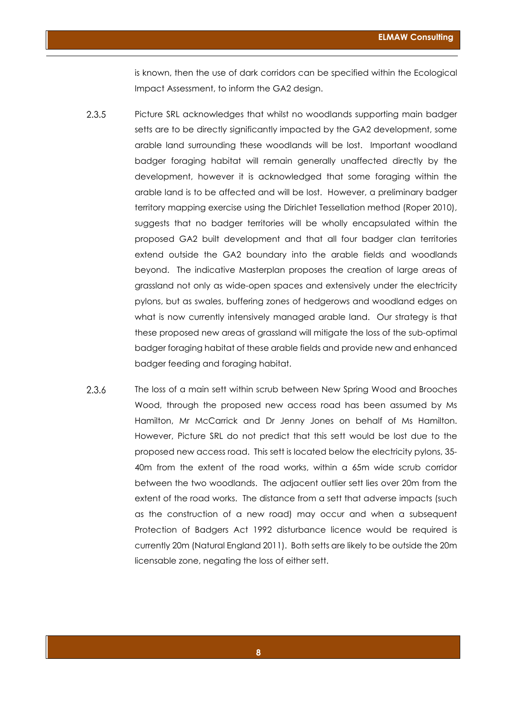is known, then the use of dark corridors can be specified within the Ecological Impact Assessment, to inform the GA2 design.

- 2.3.5 Picture SRL acknowledges that whilst no woodlands supporting main badger setts are to be directly significantly impacted by the GA2 development, some arable land surrounding these woodlands will be lost. Important woodland badger foraging habitat will remain generally unaffected directly by the development, however it is acknowledged that some foraging within the arable land is to be affected and will be lost. However, a preliminary badger territory mapping exercise using the Dirichlet Tessellation method (Roper 2010), suggests that no badger territories will be wholly encapsulated within the proposed GA2 built development and that all four badger clan territories extend outside the GA2 boundary into the arable fields and woodlands beyond. The indicative Masterplan proposes the creation of large areas of grassland not only as wide-open spaces and extensively under the electricity pylons, but as swales, buffering zones of hedgerows and woodland edges on what is now currently intensively managed arable land. Our strategy is that these proposed new areas of grassland will mitigate the loss of the sub-optimal badger foraging habitat of these arable fields and provide new and enhanced badger feeding and foraging habitat.
- 2.3.6 The loss of a main sett within scrub between New Spring Wood and Brooches Wood, through the proposed new access road has been assumed by Ms Hamilton, Mr McCarrick and Dr Jenny Jones on behalf of Ms Hamilton. However, Picture SRL do not predict that this sett would be lost due to the proposed new access road. This sett is located below the electricity pylons, 35- 40m from the extent of the road works, within a 65m wide scrub corridor between the two woodlands. The adjacent outlier sett lies over 20m from the extent of the road works. The distance from a sett that adverse impacts (such as the construction of a new road) may occur and when a subsequent Protection of Badgers Act 1992 disturbance licence would be required is currently 20m (Natural England 2011). Both setts are likely to be outside the 20m licensable zone, negating the loss of either sett.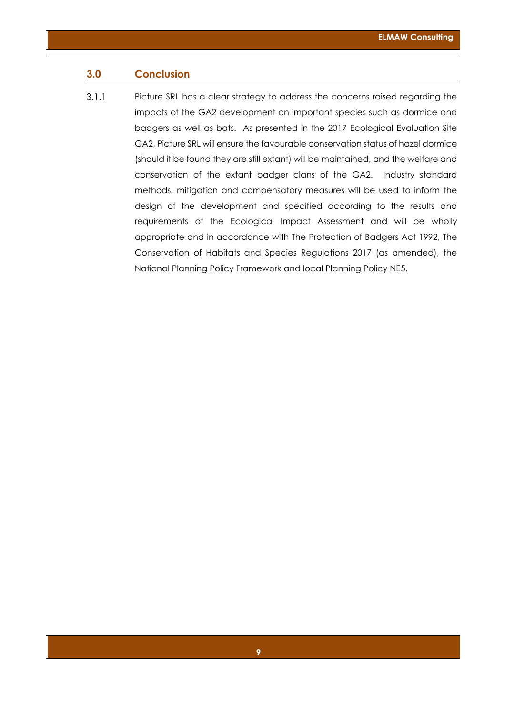# **3.0 Conclusion**

 $3.1.1$ Picture SRL has a clear strategy to address the concerns raised regarding the impacts of the GA2 development on important species such as dormice and badgers as well as bats. As presented in the 2017 Ecological Evaluation Site GA2, Picture SRL will ensure the favourable conservation status of hazel dormice (should it be found they are still extant) will be maintained, and the welfare and conservation of the extant badger clans of the GA2. Industry standard methods, mitigation and compensatory measures will be used to inform the design of the development and specified according to the results and requirements of the Ecological Impact Assessment and will be wholly appropriate and in accordance with The Protection of Badgers Act 1992, The Conservation of Habitats and Species Regulations 2017 (as amended), the National Planning Policy Framework and local Planning Policy NE5.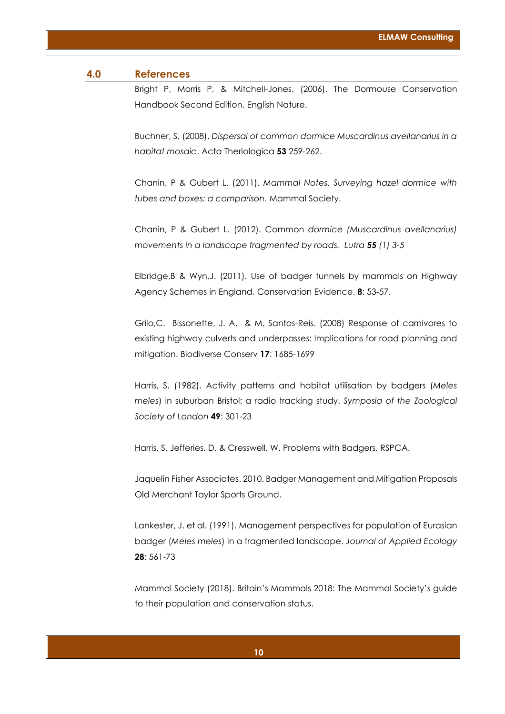#### **4.0 References**

Bright P, Morris P, & Mitchell-Jones. (2006). The Dormouse Conservation Handbook Second Edition. English Nature.

Buchner, S. (2008). *Dispersal of common dormice Muscardinus avellanarius in a habitat mosaic*. Acta Theriologica **53** 259-262.

Chanin, P & Gubert L. (2011). *Mammal Notes. Surveying hazel dormice with tubes and boxes: a comparison*. Mammal Society.

Chanin, P & Gubert L. (2012). Common *dormice (Muscardinus avellanarius) movements in a landscape fragmented by roads. Lutra 55 (1) 3-5*

Elbridge,B & Wyn,J. (2011). Use of badger tunnels by mammals on Highway Agency Schemes in England. Conservation Evidence. **8**: 53-57.

Grilo,C. Bissonette, J. A. & M, Santos-Reis. (2008) Response of carnivores to existing highway culverts and underpasses: Implications for road planning and mitigation. Biodiverse Conserv **17**: 1685-1699

Harris, S. (1982). Activity patterns and habitat utilisation by badgers (*Meles meles*) in suburban Bristol: a radio tracking study. *Symposia of the Zoological Society of London* **49**: 301-23

Harris, S. Jefferies, D. & Cresswell. W. Problems with Badgers. RSPCA.

Jaquelin Fisher Associates. 2010. Badger Management and Mitigation Proposals Old Merchant Taylor Sports Ground.

Lankester, J. et al. (1991). Management perspectives for population of Eurasian badger (*Meles meles*) in a fragmented landscape. *Journal of Applied Ecology* **28**: 561-73

Mammal Society (2018). Britain's Mammals 2018: The Mammal Society's guide to their population and conservation status.